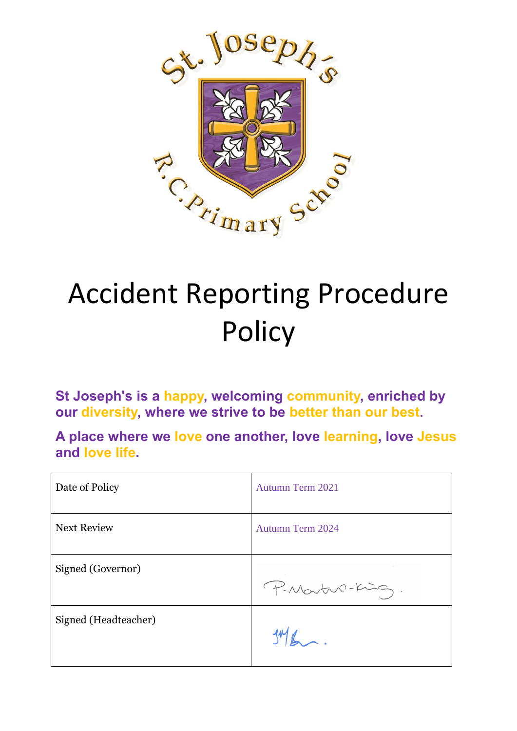

# Accident Reporting Procedure **Policy**

**St Joseph's is a happy, welcoming community, enriched by our diversity, where we strive to be better than our best.**

**A place where we love one another, love learning, love Jesus and love life.**

| Date of Policy       | <b>Autumn Term 2021</b> |
|----------------------|-------------------------|
| <b>Next Review</b>   | <b>Autumn Term 2024</b> |
| Signed (Governor)    | P. Martin-King.         |
| Signed (Headteacher) |                         |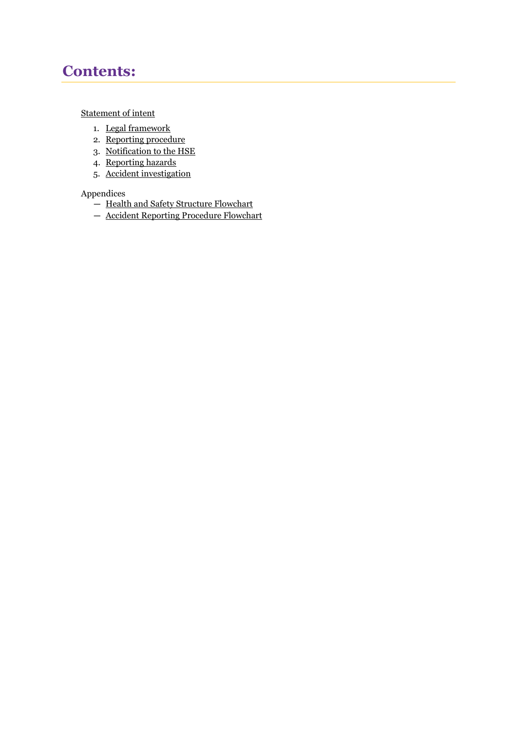## **Contents:**

#### [Statement of intent](#page-2-0)

- 1. [Legal framework](#page-3-0)
- 2. [Reporting procedure](#page-3-1)
- 3. [Notification to the HSE](#page-3-2)
- 4. [Reporting hazards](#page-5-0)
- 5. [Accident investigation](#page-5-1)

#### Appendices

- [Health and Safety Structure Flowchart](#page-6-0)
- [Accident Reporting Procedure Flowchart](#page-7-0)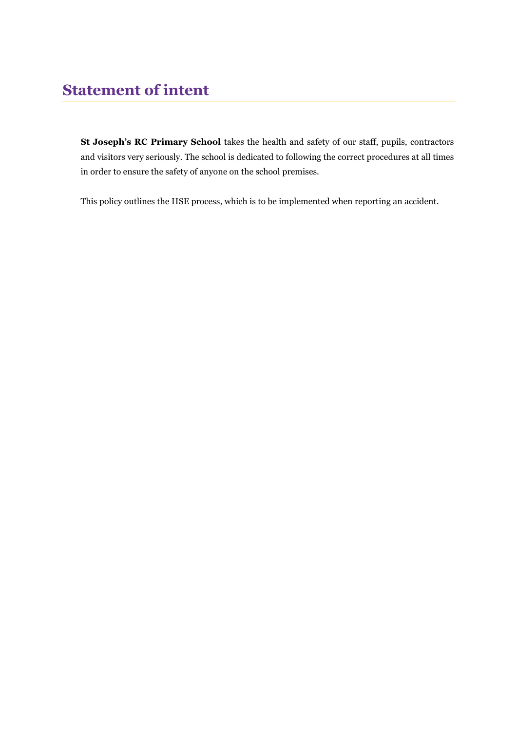<span id="page-2-0"></span>**St Joseph's RC Primary School** takes the health and safety of our staff, pupils, contractors and visitors very seriously. The school is dedicated to following the correct procedures at all times in order to ensure the safety of anyone on the school premises.

This policy outlines the HSE process, which is to be implemented when reporting an accident.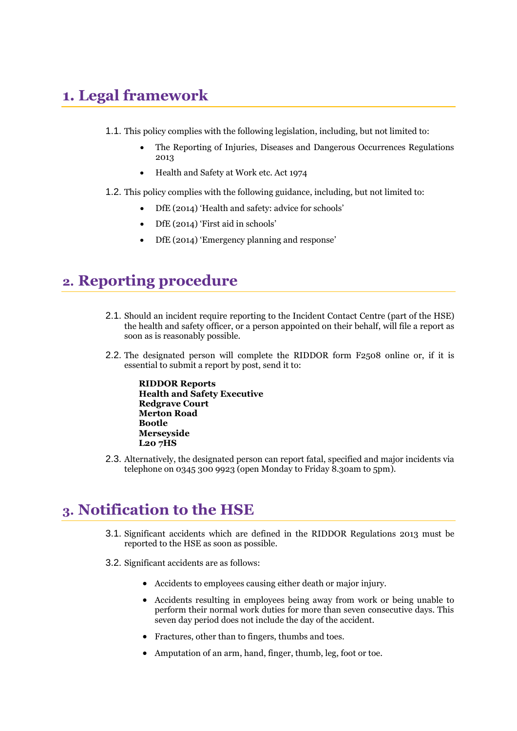# <span id="page-3-0"></span>**1. Legal framework**

- 1.1. This policy complies with the following legislation, including, but not limited to:
	- The Reporting of Injuries, Diseases and Dangerous Occurrences Regulations 2013
	- Health and Safety at Work etc. Act 1974
- 1.2. This policy complies with the following guidance, including, but not limited to:
	- DfE (2014) 'Health and safety: advice for schools'
	- DfE (2014) 'First aid in schools'
	- DfE (2014) 'Emergency planning and response'

#### <span id="page-3-1"></span>**2. Reporting procedure**

- 2.1. Should an incident require reporting to the Incident Contact Centre (part of the HSE) the health and safety officer, or a person appointed on their behalf, will file a report as soon as is reasonably possible.
- 2.2. The designated person will complete the RIDDOR form F2508 online or, if it is essential to submit a report by post, send it to:

**RIDDOR Reports Health and Safety Executive Redgrave Court Merton Road Bootle Merseyside L20 7HS**

2.3. Alternatively, the designated person can report fatal, specified and major incidents via telephone on 0345 300 9923 (open Monday to Friday 8.30am to 5pm).

### <span id="page-3-2"></span>**3. Notification to the HSE**

- 3.1. Significant accidents which are defined in the RIDDOR Regulations 2013 must be reported to the HSE as soon as possible.
- 3.2. Significant accidents are as follows:
	- Accidents to employees causing either death or major injury.
	- Accidents resulting in employees being away from work or being unable to perform their normal work duties for more than seven consecutive days. This seven day period does not include the day of the accident.
	- Fractures, other than to fingers, thumbs and toes.
	- Amputation of an arm, hand, finger, thumb, leg, foot or toe.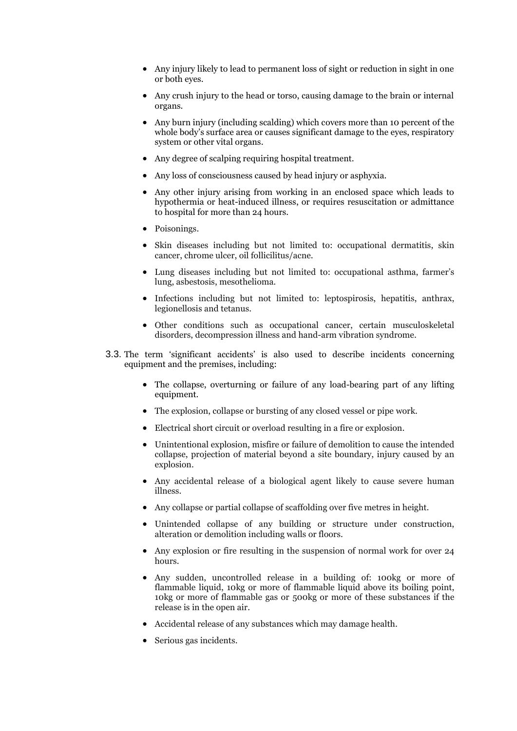- Any injury likely to lead to permanent loss of sight or reduction in sight in one or both eyes.
- Any crush injury to the head or torso, causing damage to the brain or internal organs.
- Any burn injury (including scalding) which covers more than 10 percent of the whole body's surface area or causes significant damage to the eyes, respiratory system or other vital organs.
- Any degree of scalping requiring hospital treatment.
- Any loss of consciousness caused by head injury or asphyxia.
- Any other injury arising from working in an enclosed space which leads to hypothermia or heat-induced illness, or requires resuscitation or admittance to hospital for more than 24 hours.
- Poisonings.
- Skin diseases including but not limited to: occupational dermatitis, skin cancer, chrome ulcer, oil follicilitus/acne.
- Lung diseases including but not limited to: occupational asthma, farmer's lung, asbestosis, mesothelioma.
- Infections including but not limited to: leptospirosis, hepatitis, anthrax, legionellosis and tetanus.
- Other conditions such as occupational cancer, certain musculoskeletal disorders, decompression illness and hand-arm vibration syndrome.
- 3.3. The term 'significant accidents' is also used to describe incidents concerning equipment and the premises, including:
	- The collapse, overturning or failure of any load-bearing part of any lifting equipment.
	- The explosion, collapse or bursting of any closed vessel or pipe work.
	- Electrical short circuit or overload resulting in a fire or explosion.
	- Unintentional explosion, misfire or failure of demolition to cause the intended collapse, projection of material beyond a site boundary, injury caused by an explosion.
	- Any accidental release of a biological agent likely to cause severe human illness.
	- Any collapse or partial collapse of scaffolding over five metres in height.
	- Unintended collapse of any building or structure under construction, alteration or demolition including walls or floors.
	- Any explosion or fire resulting in the suspension of normal work for over 24 hours.
	- Any sudden, uncontrolled release in a building of: 100kg or more of flammable liquid, 10kg or more of flammable liquid above its boiling point, 10kg or more of flammable gas or 500kg or more of these substances if the release is in the open air.
	- Accidental release of any substances which may damage health.
	- Serious gas incidents.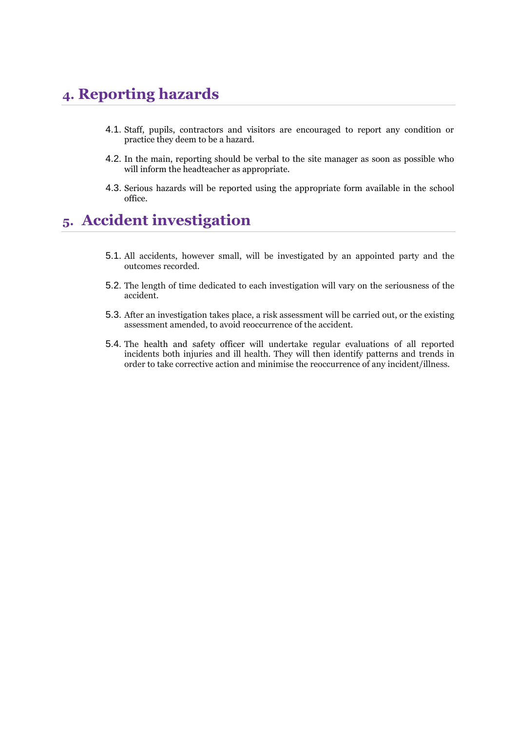# <span id="page-5-0"></span>**4. Reporting hazards**

- 4.1. Staff, pupils, contractors and visitors are encouraged to report any condition or practice they deem to be a hazard.
- 4.2. In the main, reporting should be verbal to the site manager as soon as possible who will inform the headteacher as appropriate.
- 4.3. Serious hazards will be reported using the appropriate form available in the school office.

# <span id="page-5-1"></span>**5. Accident investigation**

- 5.1. All accidents, however small, will be investigated by an appointed party and the outcomes recorded.
- 5.2. The length of time dedicated to each investigation will vary on the seriousness of the accident.
- 5.3. After an investigation takes place, a risk assessment will be carried out, or the existing assessment amended, to avoid reoccurrence of the accident.
- 5.4. The health and safety officer will undertake regular evaluations of all reported incidents both injuries and ill health. They will then identify patterns and trends in order to take corrective action and minimise the reoccurrence of any incident/illness.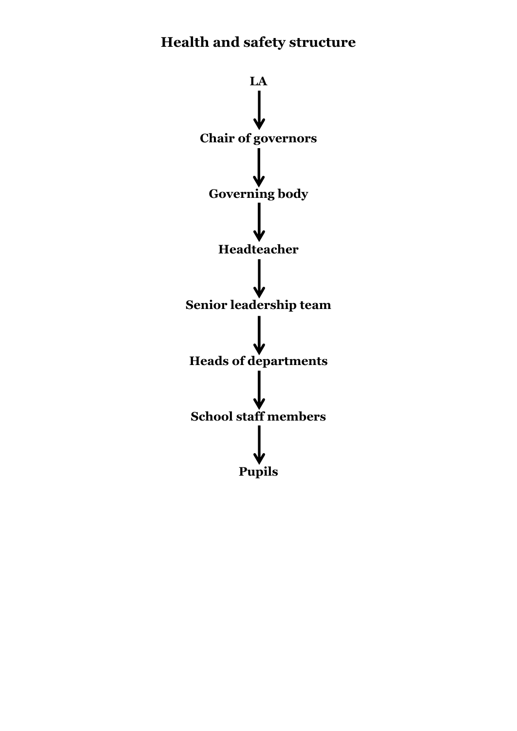# <span id="page-6-0"></span>**Health and safety structure**